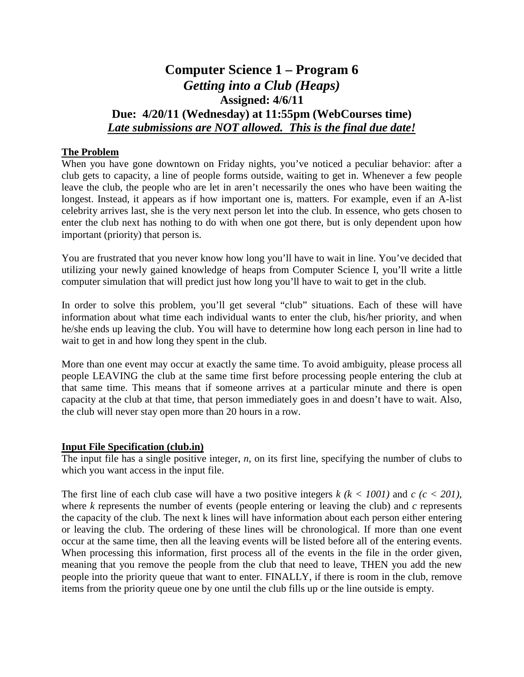# **Computer Science 1 – Program 6** *Getting into a Club (Heaps)* **Assigned: 4/6/11 Due: 4/20/11 (Wednesday) at 11:55pm (WebCourses time)** *Late submissions are NOT allowed. This is the final due date!*

## **The Problem**

When you have gone downtown on Friday nights, you've noticed a peculiar behavior: after a club gets to capacity, a line of people forms outside, waiting to get in. Whenever a few people leave the club, the people who are let in aren't necessarily the ones who have been waiting the longest. Instead, it appears as if how important one is, matters. For example, even if an A-list celebrity arrives last, she is the very next person let into the club. In essence, who gets chosen to enter the club next has nothing to do with when one got there, but is only dependent upon how important (priority) that person is.

You are frustrated that you never know how long you'll have to wait in line. You've decided that utilizing your newly gained knowledge of heaps from Computer Science I, you'll write a little computer simulation that will predict just how long you'll have to wait to get in the club.

In order to solve this problem, you'll get several "club" situations. Each of these will have information about what time each individual wants to enter the club, his/her priority, and when he/she ends up leaving the club. You will have to determine how long each person in line had to wait to get in and how long they spent in the club.

More than one event may occur at exactly the same time. To avoid ambiguity, please process all people LEAVING the club at the same time first before processing people entering the club at that same time. This means that if someone arrives at a particular minute and there is open capacity at the club at that time, that person immediately goes in and doesn't have to wait. Also, the club will never stay open more than 20 hours in a row.

## **Input File Specification (club.in)**

The input file has a single positive integer, *n*, on its first line, specifying the number of clubs to which you want access in the input file.

The first line of each club case will have a two positive integers *k (k < 1001)* and *c (c < 201)*, where *k* represents the number of events (people entering or leaving the club) and *c* represents the capacity of the club. The next k lines will have information about each person either entering or leaving the club. The ordering of these lines will be chronological. If more than one event occur at the same time, then all the leaving events will be listed before all of the entering events. When processing this information, first process all of the events in the file in the order given, meaning that you remove the people from the club that need to leave, THEN you add the new people into the priority queue that want to enter. FINALLY, if there is room in the club, remove items from the priority queue one by one until the club fills up or the line outside is empty.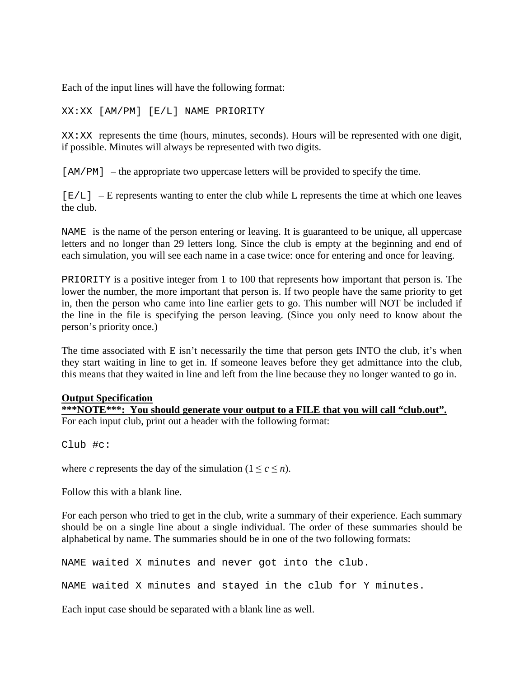Each of the input lines will have the following format:

XX:XX [AM/PM] [E/L] NAME PRIORITY

XX:XX represents the time (hours, minutes, seconds). Hours will be represented with one digit, if possible. Minutes will always be represented with two digits.

[ $AM/PM$ ] – the appropriate two uppercase letters will be provided to specify the time.

 $[E/L]$  – E represents wanting to enter the club while L represents the time at which one leaves the club.

NAME is the name of the person entering or leaving. It is guaranteed to be unique, all uppercase letters and no longer than 29 letters long. Since the club is empty at the beginning and end of each simulation, you will see each name in a case twice: once for entering and once for leaving.

PRIORITY is a positive integer from 1 to 100 that represents how important that person is. The lower the number, the more important that person is. If two people have the same priority to get in, then the person who came into line earlier gets to go. This number will NOT be included if the line in the file is specifying the person leaving. (Since you only need to know about the person's priority once.)

The time associated with E isn't necessarily the time that person gets INTO the club, it's when they start waiting in line to get in. If someone leaves before they get admittance into the club, this means that they waited in line and left from the line because they no longer wanted to go in.

### **Output Specification**

**\*\*\*NOTE\*\*\*: You should generate your output to a FILE that you will call "club.out".** For each input club, print out a header with the following format:

Club #c:

where *c* represents the day of the simulation ( $1 \leq c \leq n$ ).

Follow this with a blank line.

For each person who tried to get in the club, write a summary of their experience. Each summary should be on a single line about a single individual. The order of these summaries should be alphabetical by name. The summaries should be in one of the two following formats:

NAME waited X minutes and never got into the club.

NAME waited X minutes and stayed in the club for Y minutes.

Each input case should be separated with a blank line as well.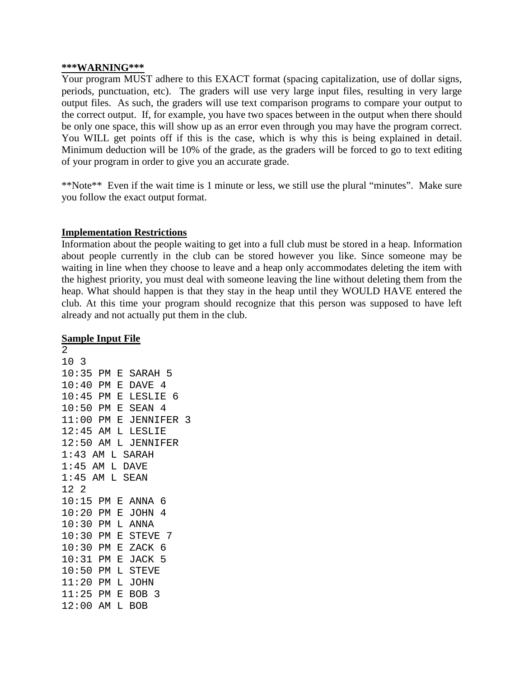#### **\*\*\*WARNING\*\*\***

Your program MUST adhere to this EXACT format (spacing capitalization, use of dollar signs, periods, punctuation, etc). The graders will use very large input files, resulting in very large output files. As such, the graders will use text comparison programs to compare your output to the correct output. If, for example, you have two spaces between in the output when there should be only one space, this will show up as an error even through you may have the program correct. You WILL get points off if this is the case, which is why this is being explained in detail. Minimum deduction will be 10% of the grade, as the graders will be forced to go to text editing of your program in order to give you an accurate grade.

\*\*Note\*\* Even if the wait time is 1 minute or less, we still use the plural "minutes". Make sure you follow the exact output format.

## **Implementation Restrictions**

Information about the people waiting to get into a full club must be stored in a heap. Information about people currently in the club can be stored however you like. Since someone may be waiting in line when they choose to leave and a heap only accommodates deleting the item with the highest priority, you must deal with someone leaving the line without deleting them from the heap. What should happen is that they stay in the heap until they WOULD HAVE entered the club. At this time your program should recognize that this person was supposed to have left already and not actually put them in the club.

## **Sample Input File**

2 10 3 10:35 PM E SARAH 5 10:40 PM E DAVE 4 10:45 PM E LESLIE 6 10:50 PM E SEAN 4 11:00 PM E JENNIFER 3 12:45 AM L LESLIE 12:50 AM L JENNIFER 1:43 AM L SARAH 1:45 AM L DAVE 1:45 AM L SEAN 12 2 10:15 PM E ANNA 6 10:20 PM E JOHN 4 10:30 PM L ANNA 10:30 PM E STEVE 7 10:30 PM E ZACK 6 10:31 PM E JACK 5 10:50 PM L STEVE 11:20 PM L JOHN 11:25 PM E BOB 3 12:00 AM L BOB